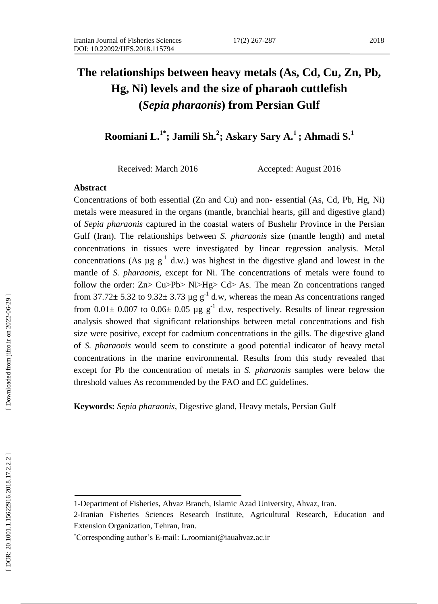# **The relationships between heavy metals (As, Cd, Cu, Zn, Pb, Hg, Ni) levels and the size of pharaoh cuttlefish (***Sepia pharaonis***) from Persian Gulf**

**Roomiani L.1\*; Jamili Sh. 2 ; Askary Sary A.<sup>1</sup>; Ahmadi S. 1**

Received: March 2016 Accepted: August 2016

### **Abstract**

Concentrations of both essential (Zn and Cu) and non - essential (As, Cd, Pb, Hg, Ni) metals were measured in the organs (mantle, branchial hearts, gill and digestive gland) of *Sepia pharaonis* captured in the coastal waters of Bushehr Province in the Persian Gulf (Iran). The relationships between *S. pharaonis* size (mantle length) and metal concentrations in tissues were investigated by linear regression analysis. Metal concentrations (As  $\mu$ g  $g^{-1}$  d.w.) was highest in the digestive gland and lowest in the mantle of *S. pharaonis*, except for Ni. The concentrations of metals were found to follow the order: Zn> Cu>Pb> Ni>Hg> Cd> As. The mean Zn concentrations ranged from 37.72 $\pm$  5.32 to 9.32 $\pm$  3.73 µg g<sup>-1</sup> d.w, whereas the mean As concentrations ranged from  $0.01 \pm 0.007$  to  $0.06 \pm 0.05$  µg g<sup>-1</sup> d.w, respectively. Results of linear regression analysis showed that significant relationships between metal concentrations and fish size were positive, except for cadmium concentrations in the gills. The digestive gland of *S. pharaonis* would seem to constitute a good potential indicator of heavy metal concentrations in the marine environmental. Results from this study revealed that except for Pb the concentration of metals in *S. pharaonis* samples were below the threshold values As recommended by the FAO and EC guidelines.

**Keywords:** *Sepia pharaonis*, Digestive gland, Heavy metals, Persian Gulf

<sup>1-</sup>Department of Fisheries, Ahvaz Branch, Islamic Azad University, Ahvaz, Iran.

<sup>2-</sup>Iranian Fisheries Sciences Research Institute, Agricultural Research, Education and Extension Organization, Tehran, Iran.

Corresponding author's E-mail: L.roomiani@iauahvaz.ac.ir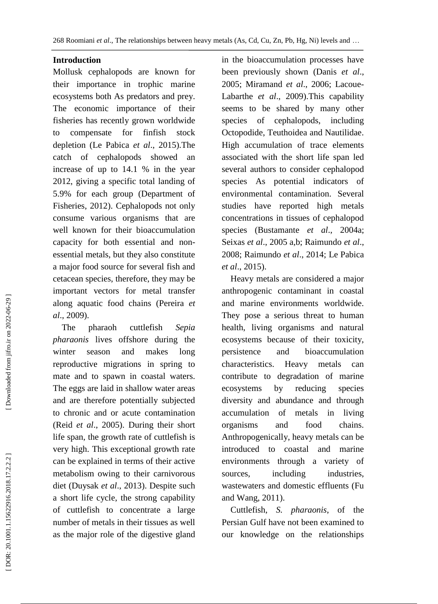## **Introduction**

Mollusk cephalopods are known for their importance in trophic marine ecosystems both As predators and prey. The economic importance of their fisheries has recently grown worldwide to compensate for finfish stock depletion (Le Pabica *et al*., 2015).The catch of cephalopods showed an increase of up to 14.1 % in the year 2012, giving a specific total landing of 5.9% for each group (Department of Fisheries, 2012). Cephalopods not only consume various organisms that are well known for their bioaccumulation capacity for both essential and non essential metals, but they also constitute a major food source for several fish and cetacean species, therefore, they may be important vectors for metal transfer along aquatic food chains (Pereira *et al*., 2009).

 The pharaoh cuttlefish *Sepia pharaonis* lives offshore during the winter season and makes long reproductive migrations in spring to mate and to spawn in coastal waters. The eggs are laid in shallow water areas and are therefore potentially subjected to chronic and or acute contamination (Reid *et al*., 2005). During their short life span, the growth rate of cuttlefish is very high. This exceptional growth rate can be explained in terms of their active metabolism owing to their carnivorous diet (Duysak *et al*., 2013). Despite such a short life cycle, the strong capability of cuttlefish to concentrate a large number of metals in their tissues as well as the major role of the digestive gland

in the bioaccumulation processes have been previously shown (Danis *et al*., 2005; Miramand *et al*., 2006; Lacoue - Labarthe *et al*., 2009).This capability seems to be shared by many other species of cephalopods, including Octopodide, Teuthoidea and Nautilidae. High accumulation of trace elements associated with the short life span led several authors to consider cephalopod species As potential indicators of environmental contamination. Several studies have reported high metals concentrations in tissues of cephalopod species (Bustamante *et al*., 2004a; Seixas *et al*., 2005 a,b; Raimundo *et al*., 2008; Raimundo *et al*., 2014; Le Pabica *et al*., 2015).

 Heavy metals are considered a major anthropogenic contaminant in coastal and marine environments worldwide. They pose a serious threat to human health, living organisms and natural ecosystems because of their toxicity, persistence and bioaccumulation characteristics. Heavy metals can contribute to degradation of marine ecosystems by reducing species diversity and abundance and through accumulation of metals in living organisms and food chains. Anthropogenically, heavy metals can be introduced to coastal and marine environments through a variety of sources, including industries, wastewaters and domestic effluents (Fu and Wang, 2011).

 Cuttlefish, *S. pharaonis*, of the Persian Gulf have not been examined to our knowledge on the relationships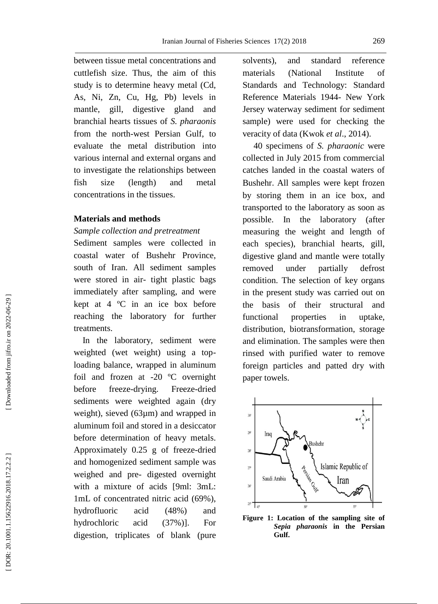between tissue metal concentrations and cuttlefish size. Thus, the aim of this study is to determine heavy metal (Cd, As, Ni, Zn, Cu, Hg, Pb) levels in mantle, gill, digestive gland and branchial hearts tissues of *S. pharaonis* from the north -west Persian Gulf, to evaluate the metal distribution into various internal and external organs and to investigate the relationships between fish size (length) and metal concentrations in the tissues.

# **Materials and methods**

#### *Sample collection and pretreatment*

Sediment samples were collected in coastal water of Bushehr Province, south of Iran. All sediment samples were stored in air - tight plastic bags immediately after sampling, and were kept at 4 ºC in an ice box before reaching the laboratory for further treatments.

 In the laboratory, sediment were weighted (wet weight) using a top loading balance, wrapped in aluminum foil and frozen at -20 ºC overnight before freeze -drying. Freeze Freeze-dried sediments were weighted again (dry weight), sieved (63µm) and wrapped in aluminum foil and stored in a desiccator before determination of heavy metals. Approximately 0.25 g of freeze -dried and homogenized sediment sample was weighed and pre - digested overnight with a mixture of acids [9ml: 3mL: 1mL of concentrated nitric acid (69%), hydrofluoric acid (48%) and hydrochloric acid (37%)]. For digestion, triplicates of blank (pure

solvents), and standard reference materials (National Institute of Standards and Technology: Standard Reference Materials 194 4 - New York Jersey waterway sediment for sediment sample) were used for checking the veracity of data (Kwok *et al*., 2014).

 40 specimens of *S. pharaonic* were collected in July 2015 from commercial catches landed in the coastal waters of Bushehr. All samples were kept frozen by storing them in an ice box, and transported to the laboratory as soon as possible. In the laboratory (after measuring the weight and length of each species), branchial hearts, gill, digestive gland and mantle were totally removed under partially defrost condition. The selection of key organs in the present study was carried out on the basis of their structural and functional properties in uptake, distribution, biotransformation, storage and elimination. The samples were then rinsed with purified water to remove foreign particles and patted dry with paper towels.



**Figure 1: Location of the sampling site of**  *Sepia pharaonis* **in the Persian Gulf.**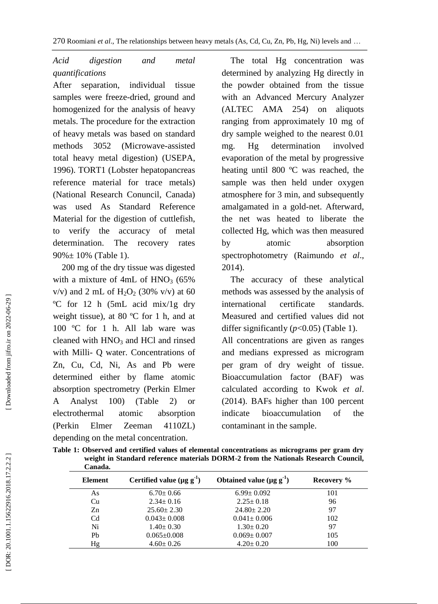# *Acid digestion and metal quantifications*

After separation, individual tissue samples were freeze -dried, ground and homogenized for the analysis of heavy metals. The procedure for the extraction of heavy metals was based on standard methods 3052 (Microwave -assisted total heavy metal digestion) (USEPA, 1996). TORT1 (Lobster hepatopancreas reference material for trace metals) (National Research Conuncil, Canada) was used As Standard Reference Material for the digestion of cuttlefish, to verify the accuracy of metal determination. The recovery rates  $90\% \pm 10\%$  (Table 1).

 200 mg of the dry tissue was digested with a mixture of 4mL of HNO <sup>3</sup> (65%  $v/v$ ) and 2 mL of  $H_2O_2$  (30%  $v/v$ ) at 60 ºC for 12 h (5mL acid mix/1g dry weight tissue), at 80 ºC for 1 h, and at 100 ºC for 1 h. All lab ware was cleaned with HNO <sup>3</sup> and HCl and rinsed with Milli - Q water. Concentrations of Zn, Cu, Cd, Ni, As and Pb were determined either by flame atomic absorption spectrometry (Perkin Elmer A Analyst 100) (Table 2) or electrothermal atomic absorption (Perkin Elmer Zeeman 4110ZL) depending on the metal concentration.

 The total Hg concentration was determined by analyzing Hg directly in the powder obtained from the tissue with an Advanced Mercury Analyzer (ALTEC AMA 254) on aliquots ranging from approximately 10 mg of dry sample weighed to the nearest 0.01 mg. Hg determination involved evaporation of the metal by progressive heating until 800 ºC was reached, the sample was then held under oxygen atmosphere for 3 min, and subsequently amalgamated in a gold -net. Afterward, the net was heated to liberate the collected Hg, which was then measured by atomic absorption spectrophotometry (Raimundo *et al*., 2014).

 The accuracy of these analytical methods was assessed by the analysis of international certificate standards. Measured and certified values did not differ significantly (*p*<0.05) (Table 1). All concentrations are given as ranges and medians expressed as microgram per gram of dry weight of tissue. Bioaccumulation factor (BAF) was calculated according to Kwok *et al*. (2014). BAFs higher than 100 percent indicate bioaccumulation of the contaminant in the sample.

**Table 1: Observed and certified values of elemental concentrations as micrograms per gram dry weight in Standard reference materials DORM -2 from the Nationals Research Council, Canada.**

| Canaua.        |                                             |                                            |            |  |
|----------------|---------------------------------------------|--------------------------------------------|------------|--|
| <b>Element</b> | Certified value ( $\mu$ g g <sup>-1</sup> ) | Obtained value ( $\mu$ g g <sup>-1</sup> ) | Recovery % |  |
| As             | $6.70 \pm 0.66$                             | $6.99 \pm 0.092$                           | 101        |  |
| Cu             | $2.34 \pm 0.16$                             | $2.25 \pm 0.18$                            | 96         |  |
| Zn             | $25.60 \pm 2.30$                            | $24.80 \pm 2.20$                           | 97         |  |
| C <sub>d</sub> | $0.043 \pm 0.008$                           | $0.041 \pm 0.006$                          | 102        |  |
| Ni             | $1.40 \pm 0.30$                             | $1.30 \pm 0.20$                            | 97         |  |
| Pb             | $0.065 \pm 0.008$                           | $0.069 \pm 0.007$                          | 105        |  |
| Hg             | $4.60 \pm 0.26$                             | $4.20 \pm 0.20$                            | 100        |  |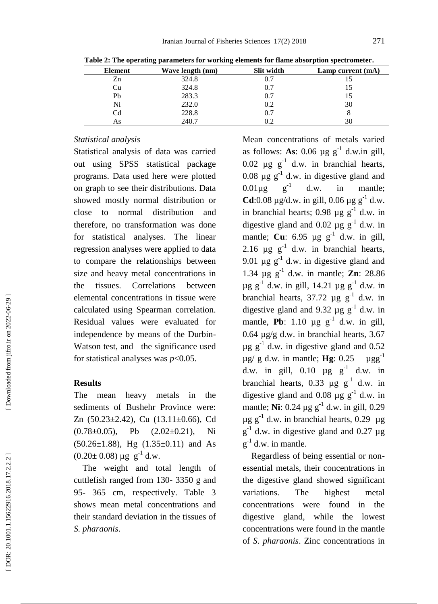|         | Table 2: The operating parameters for working elements for flame absorption spectrometer. |                   |                     |  |  |  |  |  |
|---------|-------------------------------------------------------------------------------------------|-------------------|---------------------|--|--|--|--|--|
| Element | Wave length (nm)                                                                          | <b>Slit width</b> | Lamp current $(mA)$ |  |  |  |  |  |
| Zn      | 324.8                                                                                     | 0.7               |                     |  |  |  |  |  |
| Cu      | 324.8                                                                                     | 0.7               |                     |  |  |  |  |  |
| Pb      | 283.3                                                                                     | 0.7               |                     |  |  |  |  |  |
| Ni      | 232.0                                                                                     | 0.2               | 30                  |  |  |  |  |  |
| Cd      | 228.8                                                                                     | 0.7               |                     |  |  |  |  |  |
| As      | 240.7                                                                                     | 0.2               | 30                  |  |  |  |  |  |

# *Statistical analysis*

Statistical analysis of data was carried out using SPSS statistical package programs. Data used here were plotted on graph to see their distributions. Data showed mostly normal distribution or close to normal distribution and therefore, no transformation was done for statistical analyses. The linear regression analyses were applied to data to compare the relationships between size and heavy metal concentrations in the tissues. Correlations between elemental concentrations in tissue were calculated using Spearman correlation. Residual values were evaluated for independence by means of the Durbin - Watson test, and the significance used for statistical analyses was *p*<0.05.

#### **Results**

The mean heavy metals in the sediments of Bushehr Province were: Zn (50.23±2.42), Cu (13.11±0.66), Cd  $(0.78\pm0.05)$ , Pb  $(2.02\pm0.21)$ , Ni  $(50.26 \pm 1.88)$ , Hg  $(1.35 \pm 0.11)$  and As  $(0.20 \pm 0.08) \mu g g^{-1}$  d.w.

 The weight and total length of cuttlefish ranged from 130 - 3350 g and 95 - 365 cm, respectively. Table 3 shows mean metal concentrations and their standard deviation in the tissues of *S. pharaonis* .

Mean concentrations of metals varied as follows: As:  $0.06 \mu g g^{-1}$  d.w.in gill, 0.02  $\mu$ g  $g^{-1}$  d.w. in branchial hearts, 0.08  $\mu$ g  $g^{-1}$  d.w. in digestive gland and  $0.01\mu$ g  $g^{-1}$ in mantle: **Cd**:0.08  $\mu$ g/d.w. in gill, 0.06  $\mu$ g g<sup>-1</sup> d.w. in branchial hearts;  $0.98 \mu g g^{-1}$  d.w. in digestive gland and 0.02  $\mu$ g g<sup>-1</sup> d.w. in mantle; **Cu**:  $6.95 \mu g g^{-1} d.w.$  in gill, 2.16  $\mu$ g g<sup>-1</sup> d.w. in branchial hearts, 9.01  $\mu$ g  $g^{-1}$  d.w. in digestive gland and 1.34  $\mu$ g  $g^{-1}$  d.w. in mantle; **Zn**: 28.86  $\mu$ g g<sup>-1</sup> d.w. in gill, 14.21  $\mu$ g g<sup>-1</sup> d.w. in branchial hearts,  $37.72 \mu g g^{-1} d.w.$  in digestive gland and 9.32  $\mu$ g g<sup>-1</sup> d.w. in mantle, **Pb**:  $1.10 \mu g g^{-1} d.w.$  in gill, 0.64 µg/g d.w. in branchial hearts, 3.67  $\mu$ g g<sup>-1</sup> d.w. in digestive gland and 0.52  $\mu$ g/g d.w. in mantle; **Hg**: 0.25  $\mu$ gg<sup>-1</sup> d.w. in gill,  $0.10 \text{ }\mu\text{g g}^{-1}$  d.w. in branchial hearts, 0.33  $\mu$ g g<sup>-1</sup> d.w. in digestive gland and 0.08  $\mu$ g g<sup>-1</sup> d.w. in mantle; **Ni**: 0.24  $\mu$ g g<sup>-1</sup> d.w. in gill, 0.29  $\mu$ g g<sup>-1</sup> d.w. in branchial hearts, 0.29  $\mu$ g  $g^{-1}$  d.w. in digestive gland and 0.27 µg  $g^{-1}$  d.w. in mantle.

 Regardless of being essential or non essential metals, their concentrations in the digestive gland showed significant variations. The highest metal concentrations were found in the digestive gland, while the lowest concentrations were found in the mantle of *S. pharaonis*. Zinc concentrations in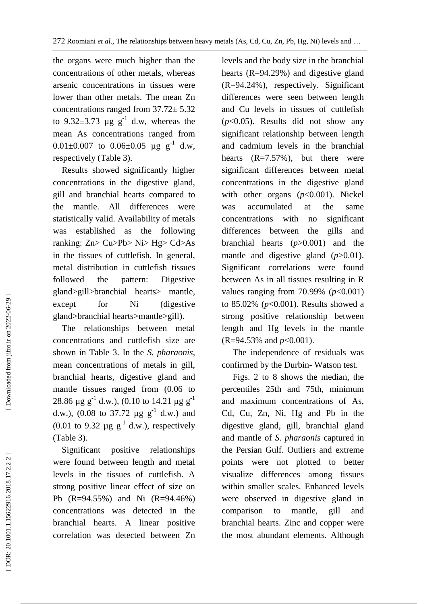the organs were much higher than the concentrations of other metals, whereas arsenic concentrations in tissues were lower than other metals. The mean Zn concentrations ranged from 37.72± 5.32 to  $9.32\pm3.73$  µg g<sup>-1</sup> d.w, whereas the mean As concentrations ranged from  $0.01 \pm 0.007$  to  $0.06 \pm 0.05$  µg g<sup>-1</sup> d.w, respectively (Table 3).

 Results showed significantly higher concentrations in the digestive gland, gill and branchial hearts compared to the mantle. All differences were statistically valid. Availability of metals was established as the following ranking: Zn> Cu>Pb> Ni> Hg> Cd>As in the tissues of cuttlefish. In general, metal distribution in cuttlefish tissues followed the pattern: Digestive gland>gill>branchial hearts> mantle, except for Ni (digestive gland>branchial hearts>mantle>gill).

 The relationships between metal concentrations and cuttlefish size are shown in Table 3. In the *S. pharaonis*, mean concentrations of metals in gill, branchial hearts, digestive gland and mantle tissues ranged from (0.06 to 28.86  $\mu$ g g<sup>-1</sup> d.w.), (0.10 to 14.21  $\mu$ g g<sup>-1</sup> d.w.), (0.08 to 37.72  $\mu$ g g<sup>-1</sup> d.w.) and (0.01 to 9.32  $\mu$ g g<sup>-1</sup> d.w.), respectively (Table 3).

 Significant positive relationships were found between length and metal levels in the tissues of cuttlefish. A strong positive linear effect of size on Pb (R=94.55%) and Ni (R=94.46%) concentrations was detected in the branchial hearts. A linear positive correlation was detected between Zn

levels and the body size in the branchial hearts (R=94.29%) and digestive gland (R=94.24%), respectively. Significant differences were seen between length and Cu levels in tissues of cuttlefish  $(p<0.05)$ . Results did not show any significant relationship between length and cadmium levels in the branchial hearts  $(R=7.57\%)$ , but there were significant differences between metal concentrations in the digestive gland with other organs (*p*<0.001). Nickel was accumulated at the same concentrations with no significant differences between the gills and branchial hearts (*p*>0.001) and the mantle and digestive gland (*p*>0.01). Significant correlations were found between As in all tissues resulting in R values ranging from 70.99% (*p*<0.001) to 85.02% (*p*<0.001). Results showed a strong positive relationship between length and Hg levels in the mantle (R=94.53% and *p*<0.001).

 The independence of residuals was confirmed by the Durbin - Watson test.

 Figs. 2 to 8 shows the median, the percentiles 25th and 75th, minimum and maximum concentrations of As, Cd, Cu, Zn, Ni, Hg and Pb in the digestive gland, gill, branchial gland and mantle of *S. pharaonis* captured in the Persian Gulf. Outliers and extreme points were not plotted to better visualize differences among tissues within smaller scales. Enhanced levels were observed in digestive gland in comparison to mantle, gill and branchial hearts. Zinc and copper were the most abundant elements. Although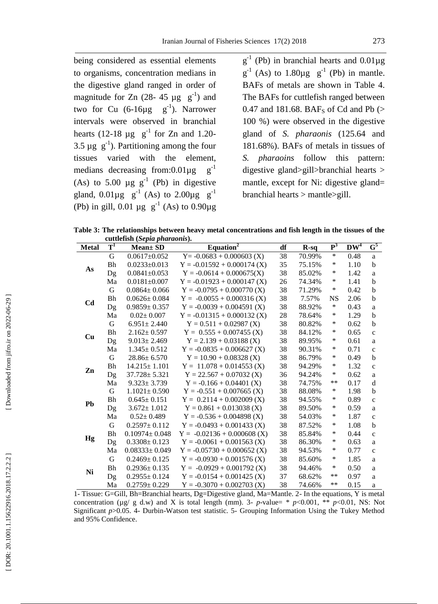being considered as essential elements to organisms, concentration medians in the digestive gland ranged in order of magnitude for Zn  $(28-45 \text{ µg g}^{-1})$  and two for Cu  $(6-16\mu g g^{-1})$ . Narrower intervals were observed in branchial hearts (12-18  $\mu$ g  $g^{-1}$  for Zn and 1.20-3.5  $\mu$ g  $g^{-1}$ ). Partitioning among the four tissues varied with the element, medians decreasing from:0.01 $\mu$ g  $g^{-1}$ (As) to 5.00  $\mu$ g g<sup>-1</sup> (Pb) in digestive gland,  $0.01 \mu g$  g<sup>-1</sup> (As) to  $2.00 \mu g$  g<sup>-1</sup> (Pb) in gill, 0.01  $\mu$ g g<sup>-1</sup> (As) to 0.90 $\mu$ g

 $g^{-1}$  (Pb) in branchial hearts and 0.01µg  $g^{-1}$  (As) to 1.80 $\mu g$   $g^{-1}$  (Pb) in mantle. BAFs of metals are shown in Table 4. The BAFs for cuttlefish ranged between 0.47 and 181.68.  $BAF_S$  of Cd and Pb  $($ 100 %) were observed in the digestive gland of *S. pharaonis* (125.64 and 181.68%). BAFs of metals in tissues of *S. pharaoins* follow this pattern: digestive gland>gill>branchial hearts > mantle, except for Ni: digestive gland= branchial hearts > mantle>gill.

**Table 3 : The relationships between heavy metal concentrations and fish length in the tissues of the cuttlefish (***Sepia pharaonis* **) .**

| <b>Metal</b>   | $\bold{T}^1$ | $\alpha$ cattic tish $\beta$ or $\beta$ is primer between<br><b>Mean</b> ± SD | Equation <sup>2</sup>         | df | $R-sq$ | $\mathbf{P}^3$ | $\overline{\mathbf{D} \mathbf{W}^4}$ | $\textbf{G}^{\textbf{5}}$ |
|----------------|--------------|-------------------------------------------------------------------------------|-------------------------------|----|--------|----------------|--------------------------------------|---------------------------|
|                | $\mathbf G$  | $0.0617 \pm 0.052$                                                            | $Y = -0.0683 + 0.000603$ (X)  | 38 | 70.99% | $\ast$         | 0.48                                 | a                         |
|                | Bh           | $0.0233 \pm 0.013$                                                            | $Y = -0.01592 + 0.000174$ (X) | 35 | 75.15% | $\ast$         | 1.10                                 | $\mathbf b$               |
| As             | Dg           | $0.0841 \pm 0.053$                                                            | $Y = -0.0614 + 0.000675(X)$   | 38 | 85.02% | $\ast$         | 1.42                                 | $\mathbf{a}$              |
|                | Ma           | $0.0181 \pm 0.007$                                                            | $Y = -0.01923 + 0.000147$ (X) | 26 | 74.34% | $\ast$         | 1.41                                 | $\mathbf b$               |
|                | G            | $0.0864 \pm 0.066$                                                            | $Y = -0.0795 + 0.000770$ (X)  | 38 | 71.29% | $\ast$         | 0.42                                 | $\mathbf b$               |
| C <sub>d</sub> | Bh           | $0.0626 \pm 0.084$                                                            | $Y = -0.0055 + 0.000316$ (X)  | 38 | 7.57%  | <b>NS</b>      | 2.06                                 | b                         |
|                | Dg           | $0.9859 \pm 0.357$                                                            | $Y = -0.0039 + 0.004591$ (X)  | 38 | 88.92% | $\ast$         | 0.43                                 | a                         |
|                | Ma           | $0.02 \pm 0.007$                                                              | $Y = -0.01315 + 0.000132$ (X) | 28 | 78.64% | $\ast$         | 1.29                                 | $\mathbf b$               |
|                | G            | $6.951 \pm 2.440$                                                             | $Y = 0.511 + 0.02987$ (X)     | 38 | 80.82% | $\ast$         | 0.62                                 | $\mathbf b$               |
| Cu             | <b>Bh</b>    | $2.162 \pm 0.597$                                                             | $Y = 0.555 + 0.007455$ (X)    | 38 | 84.12% | $\ast$         | 0.65                                 | $\mathbf{C}$              |
|                | Dg           | $9.013 \pm 2.469$                                                             | $Y = 2.139 + 0.03188$ (X)     | 38 | 89.95% | $\ast$         | 0.61                                 | $\mathbf{a}$              |
|                | Ma           | $1.345 \pm 0.512$                                                             | $Y = -0.0835 + 0.006627$ (X)  | 38 | 90.31% | $\ast$         | 0.71                                 | $\mathbf c$               |
|                | G            | $28.86 \pm 6.570$                                                             | $Y = 10.90 + 0.08328$ (X)     | 38 | 86.79% | $\ast$         | 0.49                                 | $\mathbf b$               |
|                | <b>Bh</b>    | $14.215 \pm 1.101$                                                            | $Y = 11.078 + 0.014553$ (X)   | 38 | 94.29% | $\ast$         | 1.32                                 | $\mathbf{C}$              |
| Zn             | Dg           | $37.728 \pm 5.321$                                                            | $Y = 22.567 + 0.07032$ (X)    | 36 | 94.24% | $\ast$         | 0.62                                 | $\mathbf{a}$              |
|                | Ma           | $9.323 \pm 3.739$                                                             | $Y = -0.166 + 0.04401$ (X)    | 38 | 74.75% | $***$          | 0.17                                 | $\mathbf d$               |
|                | $\mathbf G$  | $1.1021 \pm 0.590$                                                            | $Y = -0.551 + 0.007665$ (X)   | 38 | 88.08% | $\ast$         | 1.98                                 | b                         |
| Pb             | Bh           | $0.645 \pm 0.151$                                                             | $Y = 0.2114 + 0.002009$ (X)   | 38 | 94.55% | $\ast$         | 0.89                                 | $\mathbf{C}$              |
|                | Dg           | $3.672 \pm 1.012$                                                             | $Y = 0.861 + 0.013038$ (X)    | 38 | 89.50% | $\ast$         | 0.59                                 | $\mathbf{a}$              |
|                | Ma           | $0.52 \pm 0.489$                                                              | $Y = -0.536 + 0.004898$ (X)   | 38 | 54.03% | $\ast$         | 1.87                                 | $\mathbf c$               |
|                | $\mathbf G$  | $0.2597 \pm 0.112$                                                            | $Y = -0.0493 + 0.001433$ (X)  | 38 | 87.52% | $\ast$         | 1.08                                 | b                         |
|                | Bh           | $0.10974 \pm 0.048$                                                           | $Y = -0.02136 + 0.000608$ (X) | 38 | 85.84% | $\ast$         | 0.44                                 | $\mathbf c$               |
| Hg             | Dg           | $0.3308 \pm 0.123$                                                            | $Y = -0.0061 + 0.001563$ (X)  | 38 | 86.30% | $\ast$         | 0.63                                 | $\mathbf{a}$              |
|                | Ma           | $0.08333 \pm 0.049$                                                           | $Y = -0.05730 + 0.000652$ (X) | 38 | 94.53% | $\ast$         | 0.77                                 | $\mathbf c$               |
|                | G            | $0.2469 \pm 0.125$                                                            | $Y = -0.0930 + 0.001576$ (X)  | 38 | 85.60% | $\ast$         | 1.85                                 | a                         |
| Ni             | <b>Bh</b>    | $0.2936 \pm 0.135$                                                            | $Y = -0.0929 + 0.001792$ (X)  | 38 | 94.46% | $\ast$         | 0.50                                 | $\mathbf{a}$              |
|                | Dg           | $0.2955 \pm 0.124$                                                            | $Y = -0.0154 + 0.001425$ (X)  | 37 | 68.62% | $***$          | 0.97                                 | a                         |
|                | Ma           | $0.2759 \pm 0.229$                                                            | $Y = -0.3070 + 0.002703$ (X)  | 38 | 74.66% | **             | 0.15                                 | a                         |

1 - Tissue: G=Gill, Bh=Branchial hearts, Dg=Digestive gland, Ma=Mantle. 2 - In the equations, Y is metal concentration ( $\mu$ g/ g d.w) and X is total length (mm). 3- p-value= \* p<0.001, \*\* p<0.01, NS: Not Significant  $p > 0.05$ . 4- Durbin-Watson test statistic. 5- Grouping Information Using the Tukey Method and 95% Confidence.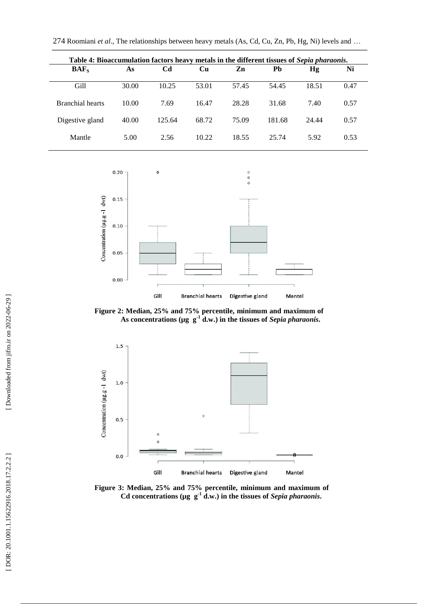274 Roomiani *et al*., The relationships between heavy metals (As, Cd, Cu, Zn, Pb, Hg, Ni) levels and …

| Table 4: Bioaccumulation factors heavy metals in the different tissues of Sepia pharaonis. |       |        |           |       |        |       |      |  |
|--------------------------------------------------------------------------------------------|-------|--------|-----------|-------|--------|-------|------|--|
| $BAF_s$                                                                                    | As    | Cd     | <b>Cu</b> | Zn    | Pb     | Hg    | Ni   |  |
| Gill                                                                                       | 30.00 | 10.25  | 53.01     | 57.45 | 54.45  | 18.51 | 0.47 |  |
| <b>Branchial hearts</b>                                                                    | 10.00 | 7.69   | 16.47     | 28.28 | 31.68  | 7.40  | 0.57 |  |
| Digestive gland                                                                            | 40.00 | 125.64 | 68.72     | 75.09 | 181.68 | 24.44 | 0.57 |  |
| Mantle                                                                                     | 5.00  | 2.56   | 10.22     | 18.55 | 25.74  | 5.92  | 0.53 |  |



**Figure 2: Median, 25% and 75% percentile, minimum and maximum of**  As concentrations ( $\mu$ g  $g^{-1}$  d.w.) in the tissues of *Sepia pharaonis*.



**Figure 3: Median, 25% and 75% percentile, minimum and maximum of**  Cd concentrations ( $\mu$ g  $g^{-1}$  d.w.) in the tissues of *Sepia pharaonis*.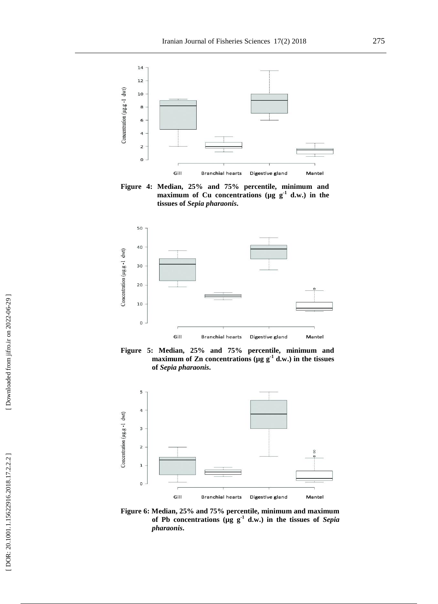

**Figure 4: Median, 25% and 75% percentile, minimum and maximum** of Cu concentrations ( $\mu$ g  $g^{-1}$  d.w.) in the **tissues of** *Sepia pharaonis* **.**







**Figure 6: Median, 25% and 75% percentile, minimum and maximum**  of Pb concentrations ( $\mu$ g  $g^{-1}$  d.w.) in the tissues of *Sepia pharaonis* **.**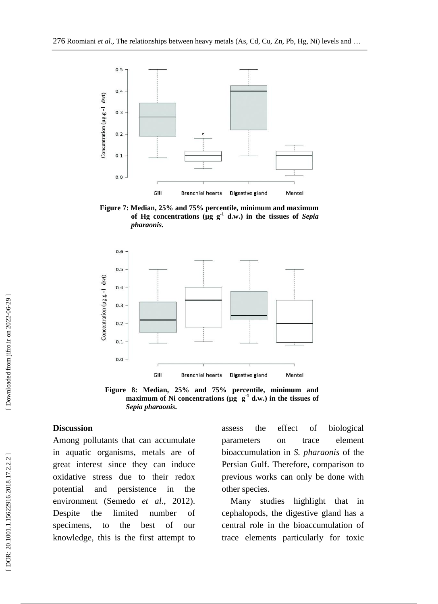

**Figure 7: Median, 25% and 75% percentile, minimum and maximum of Hg concentrations (µg g - 1 d.w.) in the tissues of** *Sepia pharaonis* **.**



**Figure 8: Median, 25% and 75% percentile, minimum and**  maximum of Ni concentrations ( $\mu$ g  $\mu$ <sup>1</sup> d.w.) in the tissues of *Sepia pharaonis* **.**

# **Discussion**

Among pollutants that can accumulate in aquatic organisms, metals are of great interest since they can induce oxidative stress due to their redox potential and persistence in the environment (Semedo *et al*., 2012). Despite the limited number of specimens, to the best of our knowledge, this is the first attempt to

assess the effect of biological parameters on trace element bioaccumulation in *S. pharaonis* of the Persian Gulf. Therefore, comparison to previous works can only be done with other species.

 Many studies highlight that in cephalopods, the digestive gland has a central role in the bioaccumulation of trace elements particularly for toxic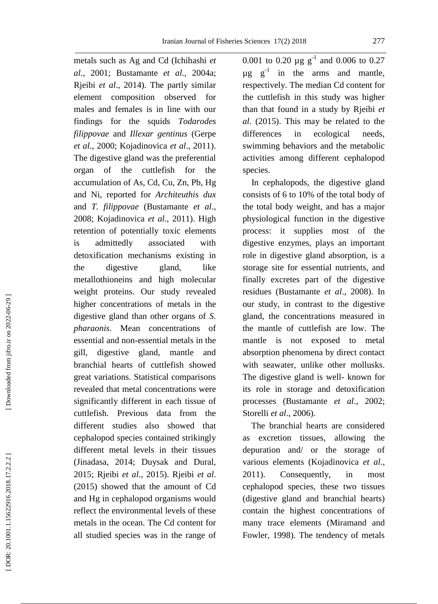metals such as Ag and Cd (Ichihashi *et al*., 2001; Bustamante *et al*., 2004a; Rjeibi *et al*., 2014). The partly similar element composition observed for males and females is in line with our findings for the squids *Todarodes filippovae* and *Illexar gentinus* (Gerpe *et a l*., 2000; Kojadinovica *et al*., 2011). The digestive gland was the preferential organ of the cuttlefish for the accumulation of As, Cd, Cu, Zn, Pb, Hg and Ni, reported for *Architeuthis dux* and *T. filippovae* (Bustamante *et al*., 2008; Kojadinovica *et al*., 2011). High retention of potentially toxic elements is admittedly associated with detoxification mechanisms existing in the digestive gland, like metallothioneins and high molecular weight proteins. Our study revealed higher concentrations of metals in the digestive gland than other organs of *S. pharaonis*. Mean concentrations of essential and non -essential metals in the gill, digestive gland, mantle and branchial hearts of cuttlefish showed great variations. Statistical comparisons revealed that metal concentrations were significantly different in each tissue of cuttlefish. Previous data from the different studies also showed that cephalopod species contained strikingly different metal levels in their tissues (Jinadasa, 2014; Duysak and Dural, 2015; Rjeibi *et al*., 2015). Rjeibi *et al*. (2015) showed that the amount of Cd and Hg in cephalopod organisms would reflect the environmental levels of these metals in the ocean. The Cd content for all studied species was in the range of

0.001 to 0.20  $\mu$ g g<sup>-1</sup> and 0.006 to 0.27  $\mu$ g  $g^{-1}$  in the arms and mantle, respectively. The median Cd content for the cuttlefish in this study was higher than that found in a study by Rjeibi *et al*. (2015). This may be related to the differences in ecological needs, swimming behaviors and the metabolic activities among different cephalopod species.

 In cephalopods, the digestive gland consists of 6 to 10% of the total body of the total body weight, and has a major physiological function in the digestive process: it supplies most of the digestive enzymes, plays an important role in digestive gland absorption, is a storage site for essential nutrients, and finally excretes part of the digestive residues (Bustamante *et al*., 2008). In our study, in contrast to the digestive gland, the concentrations measured in the mantle of cuttlefish are low. The mantle is not exposed to metal absorption phenomena by direct contact with seawater, unlike other mollusks. The digestive gland is well- known for its role in storage and detoxification processes (Bustamante *et al*., 2002; Storelli *et al*., 2006).

 The branchial hearts are considered as excretion tissues, allowing the depuration and/ or the storage of various elements (Kojadinovica *et al*., 2011). Consequently, in most cephalopod species, these two tissues (digestive gland and branchial hearts) contain the highest concentrations of many trace elements (Miramand and Fowler, 1998). The tendency of metals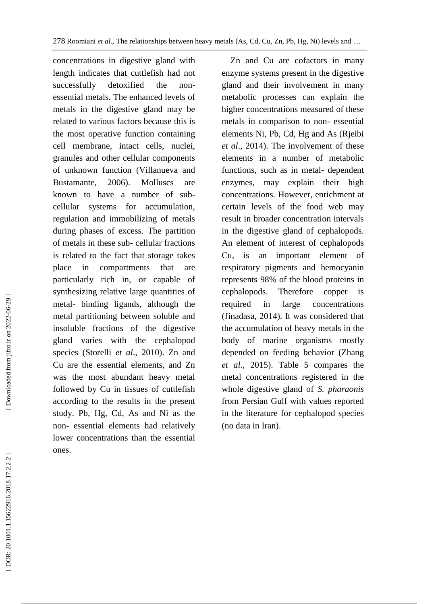concentrations in digestive gland with length indicates that cuttlefish had not successfully detoxified the nonessential metals. The enhanced levels of metals in the digestive gland may be related to various factors because this is the most operative function containing cell membrane, intact cells, nuclei, granules and other cellular components of unknown function (Villanueva and Bustamante, 2006). Molluscs are known to have a number of sub cellular systems for accumulation, regulation and immobilizing of metals during phases of excess. The partition of metals in these sub - cellular fractions is related to the fact that storage takes place in compartments that are particularly rich in, or capable of synthesizing relative large quantities of metal - binding ligands, although the metal partitioning between soluble and insoluble fractions of the digestive gland varies with the cephalopod species (Storelli *et al*., 2010). Zn and Cu are the essential elements, and Zn was the most abundant heavy metal followed by Cu in tissues of cuttlefish according to the results in the present study. Pb, Hg, Cd, As and Ni as the non - essential elements had relatively lower concentrations than the essential ones.

 Zn and Cu are cofactors in many enzyme systems present in the digestive gland and their involvement in many metabolic processes can explain the higher concentrations measured of these metals in comparison to non - essential elements Ni, Pb, Cd, Hg and As (Rjeibi *et al*., 2014). The involvement of these elements in a number of metabolic functions, such as in metal - dependent enzymes, may explain their high concentrations. However, enrichment at certain levels of the food web may result in broader concentration intervals in the digestive gland of cephalopods. An element of interest of cephalopods Cu, is an important element of respiratory pigments and hemocyanin represents 98% of the blood proteins in cephalopods. Therefore copper is required in large concentrations (Jinadasa, 2014). It was considered that the accumulation of heavy metals in the body of marine organisms mostly depended on feeding behavior (Zhang *et al*., 2015). Table 5 compares the metal concentrations registered in the whole digestive gland of *S. pharaonis* from Persian Gulf with values reported in the literature for cephalopod species (no data in Iran).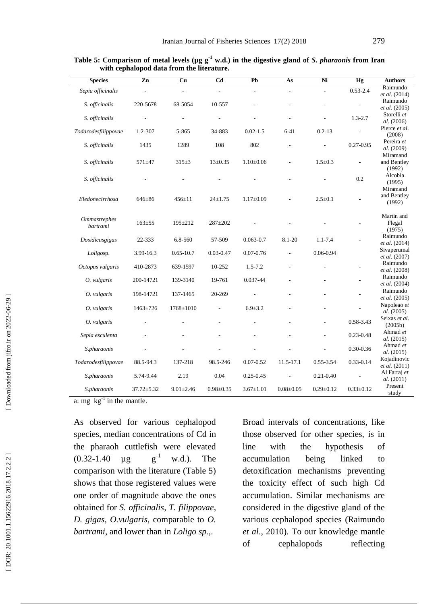| <b>Species</b>                  | $\overline{z}$ n | Cu              | C <sub>d</sub>  | Pb              | As              | Ni              | Hg              | <b>Authors</b>                    |
|---------------------------------|------------------|-----------------|-----------------|-----------------|-----------------|-----------------|-----------------|-----------------------------------|
| Sepia officinalis               |                  |                 |                 |                 |                 |                 | $0.53 - 2.4$    | Raimundo<br>et al. (2014)         |
| S. officinalis                  | 220-5678         | 68-5054         | 10-557          |                 |                 |                 |                 | Raimundo<br><i>et al.</i> (2005)  |
| S. officinalis                  |                  |                 |                 |                 |                 |                 | $1.3 - 2.7$     | Storelli et<br>al. (2006)         |
| Todarodesfilippovae             | 1.2-307          | 5-865           | 34-883          | $0.02 - 1.5$    | $6 - 41$        | $0.2 - 13$      |                 | Pierce et al.<br>(2008)           |
| S. officinalis                  | 1435             | 1289            | 108             | 802             |                 |                 | $0.27 - 0.95$   | Pereira et<br>al. (2009)          |
| S. officinalis                  | $571 + 47$       | $315 \pm 3$     | $13 \pm 0.35$   | $1.10 \pm 0.06$ |                 | $1.5 \pm 0.3$   |                 | Miramand<br>and Bentley<br>(1992) |
| S. officinalis                  |                  |                 |                 |                 |                 |                 | 0.2             | Alcobia<br>(1995)                 |
|                                 |                  |                 |                 |                 |                 |                 |                 | Miramand<br>and Bentley           |
| Eledonecirrhosa                 | 646±86           | $456 \pm 11$    | $24 \pm 1.75$   | $1.17 \pm 0.09$ |                 | $2.5 \pm 0.1$   |                 | (1992)                            |
| <b>Ommastrephes</b><br>bartrami | $163 + 55$       | 195±212         | 287±202         |                 |                 |                 |                 | Martin and<br>Flegal<br>(1975)    |
| Dosidicusgigas                  | 22-333           | 6.8-560         | 57-509          | $0.063 - 0.7$   | $8.1 - 20$      | $1.1 - 7.4$     |                 | Raimundo<br>et al. (2014)         |
| Loligosp.                       | 3.99-16.3        | $0.65 - 10.7$   | $0.03 - 0.47$   | $0.07 - 0.76$   |                 | 0.06-0.94       |                 | Sivaperumal<br>et al. (2007)      |
| Octopus vulgaris                | 410-2873         | 639-1597        | 10-252          | $1.5 - 7.2$     |                 |                 |                 | Raimundo<br>et al. (2008)         |
| O. vulgaris                     | 200-14721        | 139-3140        | 19-761          | 0.037-44        |                 |                 |                 | Raimundo<br><i>et al.</i> (2004)  |
| O. vulgaris                     | 198-14721        | 137-1465        | 20-269          |                 |                 |                 |                 | Raimundo<br>et al. (2005)         |
| O. vulgaris                     | 1463±726         | 1768±1010       |                 | $6.9 \pm 3.2$   |                 |                 |                 | Napoleao et<br><i>al.</i> (2005)  |
| O. vulgaris                     |                  |                 |                 |                 |                 |                 | 0.58-3.43       | Seixas et al.<br>(2005b)          |
| Sepia esculenta                 |                  |                 |                 |                 |                 | L,              | $0.23 - 0.48$   | Ahmad et<br>al. (2015)            |
| S.pharaonis                     |                  |                 |                 |                 |                 |                 | 0.30-0.36       | Ahmad et<br>al. (2015)            |
| Todarodesfilippovae             | 88.5-94.3        | 137-218         | 98.5-246        | $0.07 - 0.52$   | 11.5-17.1       | 0.55-3.54       | $0.33 - 0.14$   | Kojadinovic<br>et al. (2011)      |
| S.pharaonis                     | 5.74-9.44        | 2.19            | 0.04            | $0.25 - 0.45$   |                 | $0.21 - 0.40$   |                 | Al Farraj et<br>al. (2011)        |
| S.pharaonis                     | 37.72±5.32       | $9.01 \pm 2.46$ | $0.98 \pm 0.35$ | $3.67 \pm 1.01$ | $0.08 \pm 0.05$ | $0.29 \pm 0.12$ | $0.33 \pm 0.12$ | Present<br>study                  |

| Table 5: Comparison of metal levels ( $\mu$ g g <sup>-1</sup> w.d.) in the digestive gland of <i>S. pharaonis</i> from Iran |  |  |  |  |
|-----------------------------------------------------------------------------------------------------------------------------|--|--|--|--|
| with cephalopod data from the literature.                                                                                   |  |  |  |  |

a: mg  $\text{kg}^{-1}$  in the mantle.

As observed for various cephalopod species, median concentrations of Cd in the pharaoh cuttlefish were elevated  $(0.32 - 1.40 \mu g)$  $g^{\dagger}$ w.d.). The comparison with the literature (Table 5) shows that those registered values were one order of magnitude above the ones obtained for *S. officinalis*, *T. filippovae*, *D. gigas*, *O.vulgaris*, comparable to *O. bartrami*, and lower than in *Loligo sp.,*.

Broad intervals of concentrations, like those observed for other species, is in line with the hypothesis of accumulation being linked to detoxification mechanisms preventing the toxicity effect of such high Cd accumulation. Similar mechanisms are considered in the digestive gland of the various cephalopod species (Raimundo *et al*., 2010). To our knowledge mantle of cephalopods reflecting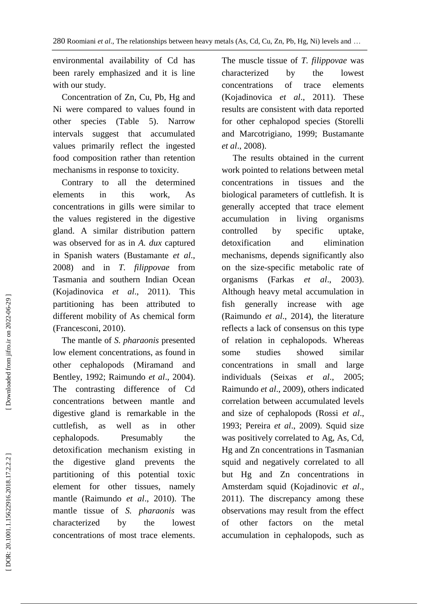environmental availability of Cd has been rarely emphasized and it is line with our study.

 Concentration of Zn, Cu, Pb, Hg and Ni were compared to values found in other species (Table 5). Narrow intervals suggest that accumulated values primarily reflect the ingested food composition rather than retention mechanisms in response to toxicity.

 Contrary to all the determined elements in this work, As concentrations in gills were similar to the values registered in the digestive gland. A similar distribution pattern was observed for as in *A . dux* captured in Spanish waters (Bustamante *et al*., 2008) and in *T. filippovae* from Tasmania and southern Indian Ocean (Kojadinovica *et al*., 2011). This partitioning has been attributed to different mobility of As chemical form (Francesconi, 2010).

 The mantle of *S. pharaonis* presented low element concentrations, as found in other cephalopods (Miramand and Bentley, 1992; Raimundo *et al*., 2004). The contrasting difference of Cd concentrations between mantle and digestive gland is remarkable in the cuttlefish, as well as in other cephalopods. Presumably the detoxification mechanism existing in the digestive gland prevents the partitioning of this potential toxic element for other tissues, namely mantle (Raimundo *et al*., 2010). The mantle tissue of *S. pharaonis* was characterized by the lowest concentrations of most trace elements.

The muscle tissue of *T. filippovae* was characterized by the lowest concentrations of trace elements (Kojadinovica *et al*., 2011). These results are consistent with data reported for other cephalopod species (Storelli and Marcotrigiano, 1999; Bustamante *et al*., 2008).

 The results obtained in the current work pointed to relations between metal concentrations in tissues and the biological parameters of cuttlefish. It is generally accepted that trace element accumulation in living organisms controlled by specific uptake, detoxification and elimination mechanisms, depends significantly also on the size -specific metabolic rate of organisms (Farkas *et al*., 2003). Although heavy metal accumulation in fish generally increase with age (Raimundo *et al*., 2014), the literature reflects a lack of consensus on this type of relation in cephalopods. Whereas some studies showed similar concentrations in small and large individuals (Seixas *et al*., 2005; Raimundo *et al*., 2009), others indicated correlation between accumulated levels and size of cephalopods (Rossi *et al*., 1993; Pereira *et al*., 2009). Squid size was positively correlated to Ag, As, Cd, Hg and Zn concentrations in Tasmanian squid and negatively correlated to all but Hg and Zn concentrations in Amsterdam squid (Kojadinovic *et al*., 2011). The discrepancy among these observations may result from the effect of other factors on the metal accumulation in cephalopods, such as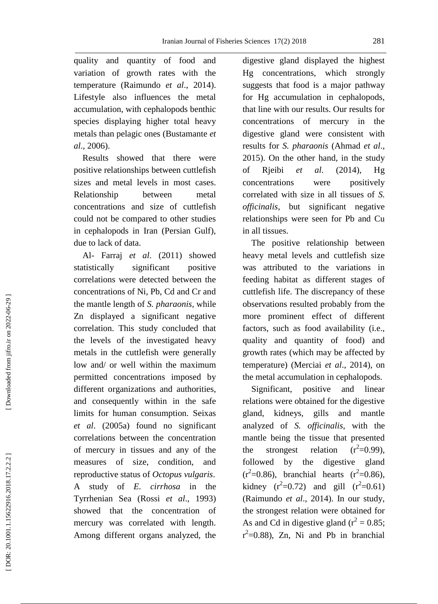quality and quantity of food and variation of growth rates with the temperature (Raimundo *et al*., 2014). Lifestyle also influences the metal accumulation, with cephalopods benthic species displaying higher total heavy metals than pelagic ones (Bustaman te *et al*., 2006).

 Results showed that there were positive relationships between cuttlefish sizes and metal levels in most cases. Relationship between metal concentrations and size of cuttlefish could not be compared to other studies in cephalopods in Iran (Persian Gulf), due to lack of data.

 Al - Farraj *et al*. (2011) showed statistically significant positive correlations were detected between the concentrations of Ni, Pb, Cd and Cr and the mantle length of *S. pharaonis*, while Zn displayed a significant negative correlation. This study concluded that the levels of the investigated heavy metals in the cuttlefish were generally low and/ or well within the maximum permitted concentrations imposed by different organizations and authorities, and consequently within in the safe limits for human consumption. Seixas *et al*. (2005a) found no significant correlations between the concentration of mercury in tissues and any of the measures of size, condition, and reproductive status of *Octopus vulgaris*. A study of *E. cirrhosa* in the Tyrrhenian Sea (Rossi *et al*., 1993) showed that the concentration of mercury was correlated with length. Among different organs analyzed, the

digestive gland displayed the highest Hg concentrations, which strongly suggests that food is a major pathway for Hg accumulation in cephalopods, that line with our results. Our results for concentrations of mercury in the digestive gland were consistent with results for *S. pharaonis* (Ahmad *et al*., 2015). On the other hand, in the study of Rjeibi *et al*. (2014), Hg concentrations were positively correlated with size in all tissues of *S. officinalis*, but significant negative relationships were seen for Pb and Cu in all tissues.

 The positive relationship between heavy metal levels and cuttlefish size was attributed to the variations in feeding habitat as different stages of cuttlefish life. The discrepancy of these observations resulted probably from the more prominent effect of different factors, such as food availability (i.e., quality and quantity of food) and growth rates (which may be affected by temperature) (Merciai *et al*., 2014), on the metal accumulation in cephalopods.

 Significant, positive and linear relations were obtained for the digestive gland, kidneys, gills and mantle analyzed of *S. officinalis*, with the mantle being the tissue that presented the strongest relation  $2^2$ =0.99), followed by the digestive gland  $(r^2=0.86)$ , branchial hearts  $(r^2=0.86)$ , kidney  $(r^2=0.72)$  and gill  $(r^2=0.61)$ (Raimundo *et al*., 2014). In our study, the strongest relation were obtained for As and Cd in digestive gland  $(r^2 = 0.85)$ ;  $r^2$ =0.88), Zn, Ni and Pb in branchial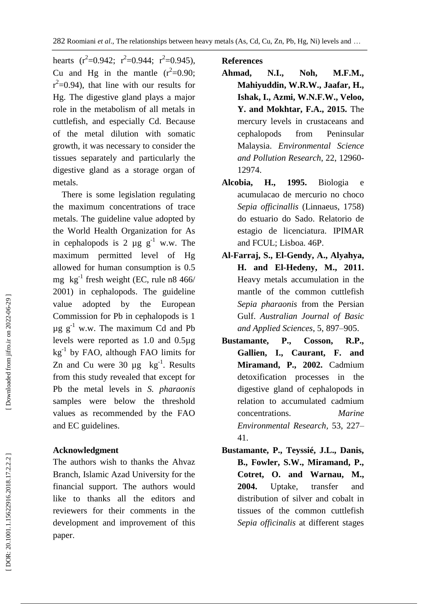hearts  $(r^2=0.942; r^2=0.944; r^2=0.945)$ , Cu and Hg in the mantle  $(r^2=0.90)$ ;  $r^2$ =0.94), that line with our results for Hg. The digestive gland plays a major role in the metabolism of all metals in cuttlefish, and especially Cd. Because of the metal dilution with somatic growth, it was necessary to consider the tissues separately and particularly the digestive gland as a storage organ of metals.

 There is some legislation regulating the maximum concentrations of trace metals. The guideline value adopted by the World Health Organization for As in cephalopods is 2  $\mu$ g  $g^{-1}$  w.w. The maximum permitted level of Hg allowed for human consumption is 0.5 mg  $kg^{-1}$  fresh weight (EC, rule n8 466/ 2001) in cephalopods. The guideline value adopted by the European Commission for Pb in cephalopods is 1  $\mu$ g g<sup>-1</sup> w.w. The maximum Cd and Pb levels were reported as 1.0 and 0.5µg kg - 1 by FAO, although FAO limits for Zn and Cu were  $30 \mu g$  kg<sup>-1</sup>. Results from this study revealed that except for Pb the metal levels in *S. pharaonis* samples were below the threshold values as recommended by the FAO and EC guidelines.

# **Acknowledgment**

The authors wish to thanks the Ahvaz Branch, Islamic Azad University for the financial support. The authors would like to thanks all the editors and reviewers for their comments in the development and improvement of this paper.

# **References**

- **Ahmad, N.I., Noh, M.F.M., Mahiyuddin, W.R.W., Jaafar, H., Ishak, I., Azmi, W.N.F.W., Veloo, Y. and Mokhtar, F.A., 2015.** The mercury levels in crustaceans and cephalopods from Peninsular Malaysia. *Environmental Science and Pollution Research*, 22 , 12960 - 12974.
- **Alcobia, H. , 1995.** Biologia e acumulacao de mercurio no choco *Sepia officinallis* (Linnaeus, 1758) do estuario do Sado. Relatorio de estagio de licenciatura. IPIMAR and FCUL; Lisboa. 46 P .
- **Al -Farraj, S., El -Gendy, A., Alyahya, H. and El -Hedeny, M., 2011.** Heavy metals accumulation in the mantle of the common cuttlefish *Sepia pharaonis* from the Persian Gulf. *Australian Journal of Basic and Applied Sciences*, 5, 897 –905.
- **Bustamante, P., Cosson, R.P., Gallien, I., Caurant, F. and Miramand, P., 2002.** Cadmium detoxification processes in the digestive gland of cephalopods in relation to accumulated cadmium concentrations. *Marine Environmental Research ,* 53, 227 – 41.
- **Bustamante, P., Teyssié, J.L., Danis, B., Fowler, S.W., Miramand, P., Cotret, O. and Warnau, M., 2004.** Uptake, transfer and distribution of silver and cobalt in tissues of the common cuttlefish *Sepia officinalis* at different stages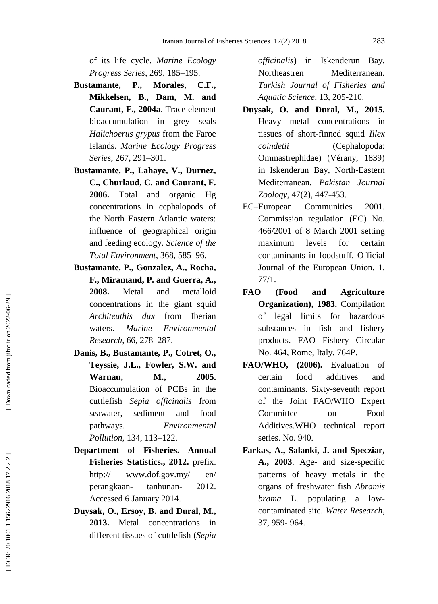of its life cycle. *Marine Ecology Progress Series*, 269, 185 –195.

- **Bustamante, P., Morales, C.F., Mikkelsen, B., Dam, M. and Caurant, F., 2004a** . Trace element bioaccumulation in grey seals *Halichoerus grypus* from the Faroe Islands. *Marine Ecology Progress Series*, 267 , 291 –301 .
- **Bustamante, P., Lahaye, V., Durnez, C., Churlaud, C. and Caurant, F. 2006.** Total and organic Hg concentrations in cephalopods of the North Eastern Atlantic waters: influence of geographical origin and feeding ecology. *Science of the Total Environment*, 368, 585 –96.
- **Bustamante, P., Gonzalez, A., Rocha, F., Miramand, P. and Guerra, A. , 2008.** Metal and metalloid concentrations in the giant squid *Architeuthis dux* from Iberian waters. *Marine Environmental Research*, 66 , 278 –287.
- **Danis, B., Bustamante, P., Cotret, O., Teyssie, J.L., Fowler, S.W. and Warnau, M., 2005.** Bioaccumulation of PCBs in the cuttlefish *Sepia officinalis* from seawater, sediment and food pathways. *Environmental Pollution*, 134, 113 –122.
- **Department of Fisheries. Annual Fisheries Statistics., 2012 .** prefix. http:// [www.dof.gov.my/](http://www.dof.gov.my/) en/ perangkaan tanhunan-- 2012. Accessed 6 January 2014.
- **Duysak, O., Ersoy, B. and Dural, M., 2013.** Metal concentrations in different tissues of cuttlefish (*Sepia*

*officinalis*) in Iskenderun Bay, Northeastren Mediterranean. *Turkish Journal of Fisheries and Aquatic Science*, 13, 205 -210.

- **Duysak, O. and Dural, M., 2015.** Heavy metal concentrations in tissues of short - finned squid *Illex coindetii* (Cephalopoda: Ommastrephidae) (Vérany, 1839) in Iskenderun Bay, North -Eastern Mediterranean. *Pakistan Journal* Zoology, 47(2), 447-453.
- EC-European Communities 2001. Commission regulation (EC) No. 466/2001 of 8 March 2001 setting maximum levels for certain contaminants in foodstuff. Official Journal of the European Union, 1. 77/1.
- **FAO (Food and Agriculture Organization) , 1983.** Compilation of legal limits for hazardous substances in fish and fishery products . FAO Fishery Circular No. 464, Rome, Italy, 764 P .
- **FAO/WHO , (2006) .** Evaluation of certain food additives and contaminants . Sixty -seventh report of the Joint FAO/WHO Expert Committee on Food Additives.WHO technical report series. No. 940 .
- **Farkas, A., Salanki, J. and Specziar, A. , 2003** . Age - and size -specific patterns of heavy metals in the organs of freshwater fish *Abramis brama* L. populating a low contaminated site. *Water Research*, 37 , 959 - 964.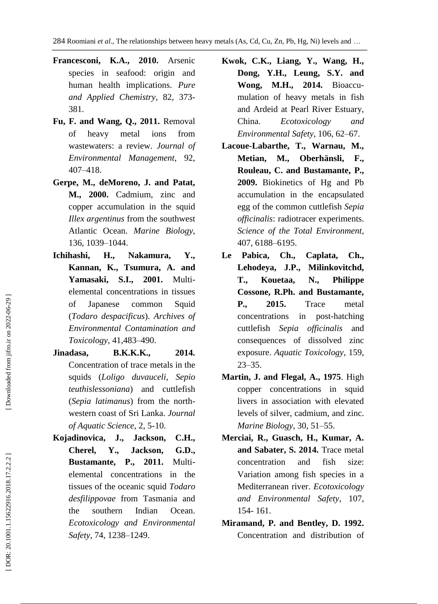- **Francesconi, K.A., 2010.** Arsenic species in seafood: origin and human health implications. *Pure and Applied Chemistry* , 82 , 373 - 381.
- **Fu, F. and Wang, Q., 2011.** Removal of heavy metal ions from wastewaters: a review. *Journal of Environmental Management* , 92, 407 –418.
- **Gerpe, M., deMoreno, J. and Patat, M., 2000.** Cadmium, zinc and copper accumulation in the squid *Illex argentinus* from the southwest Atlantic Ocean. *Marine Biology* , 136 , 1039 –1044.
- **Ichihashi, H., Nakamura, Y., Kannan, K., Tsumura, A. and**  Yamasaki, S.I., 2001. Multielemental concentrations in tissues of Japanese common Squid (*Todaro despacificus*). *Archives of Environmental Contamination and Toxicology* , 41 ,483 –490.
- **Jinadasa, B.K.K.K., 2014.** Concentration of trace metals in the squids (*Loligo duvauceli*, *Sepio teuthislessoniana*) and cuttlefish (*Sepia latimanus*) from the northwestern coast of Sri Lanka. *Journal of Aquatic Science*, 2 , 5 -10.
- **Kojadinovica, J., Jackson, C.H., Cherel, Y., Jackson, G.D., Bustamante, P., 2011.** Multielemental concentrations in the tissues of the oceanic squid *Todaro desfilippovae* from Tasmania and the southern Indian Ocean. *Ecotoxicology and Environmental Safety*, 74 , 1238 –1249.
- **Kwok, C.K., Liang, Y., Wang, H., Dong, Y.H., Leung, S.Y. and Wong, M.H., 2014.** Bioaccu mulation of heavy metals in fish and Ardeid at Pearl River Estuary, China. *Ecotoxicology and Environmental Safety*, 106 , 62 –67.
- **Lacoue -Labarthe, T., Warnau, M., Metian, M., Oberhänsli, F., Rouleau, C. and Bustamante, P., 2009.** Biokinetics of Hg and Pb accumulation in the encapsulated egg of the common cuttlefish *Sepia officinalis*: radiotracer experiments. *Science of the Total Environment*, 407 , 6188 –6195.
- **Le Pabica, Ch., Caplata, Ch., Lehodeya, J.P., Milinkovitchd, T., Kouetaa, N., Philippe Cossone, R.Ph. and Bustamante, P., 2015.** Trace metal concentrations in post-hatching cuttlefish *Sepia officinalis* and consequences of dissolved zinc exposure. *Aquatic Toxicology*, 159, 23 –35.
- **Martin, J. and Flegal, A., 1975**. High copper concentrations in squid livers in association with elevated levels of silver, cadmium, and zinc. *Marine Biology* , 30, 51 –55.
- **Merciai, R., Guasch, H., Kumar, A. and Sabater, S. 2014.** Trace metal concentration and fish size: Variation among fish species in a Mediterranean river. *Ecotoxicology and Environmental Safety*, 107 , 154 - 161.
- **Miramand, P. and Bentley, D. 1992 .** Concentration and distribution of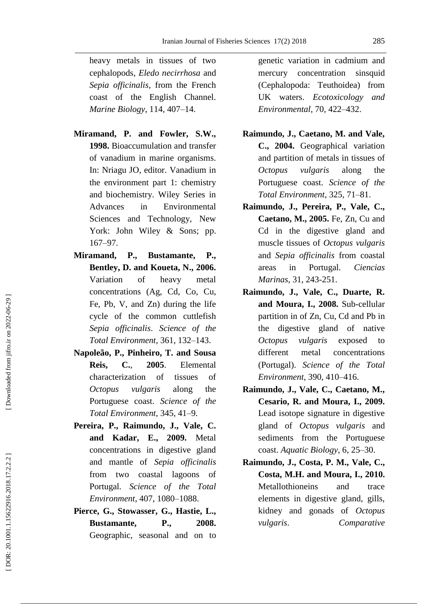heavy metals in tissues of two cephalopods, *Eledo necirrhosa* and *Sepia officinalis*, from the French coast of the English Channel. *Marine Biology*, 114, 407 –14.

- **Miramand, P. and Fowler, S.W., 1998.** Bioaccumulation and transfer of vanadium in marine organisms. In: Nriagu JO, editor. Vanadium in the environment part 1: chemistry and biochemistry. Wiley Series in Advances in Environmental Sciences and Technology, New York: John Wiley & Sons; pp. 167 –97.
- **Miramand, P., Bustamante, P., Bentley, D. and Koueta, N. , 2006.** Variation of heavy metal concentrations (Ag, Cd, Co, Cu, Fe, Pb, V, and Zn) during the life cycle of the common cuttlefish *Sepia officinalis*. *Science of the Total Environment*, 361, 132 –143.
- **Napoleão, P., Pinheiro, T. and Sousa Reis, C.** , **2005** . Elemental characterization of tissues of *Octopus vulgaris* along the Portuguese coast. *Science of the Total Environment*, 345, 41 –9.
- **Pereira, P., Raimundo, J., Vale, C. and Kadar, E., 2009.** Metal concentrations in digestive gland and mantle of *Sepia officinalis* from two coastal lagoons of Portugal. *Science of the Total Environment*, 407 , 1080 –1088.
- **Pierce, G., Stowasser, G., Hastie, L., Bustamante, P., 2008.** Geographic, seasonal and on to

genetic variation in cadmium and mercury concentration sinsquid (Cephalopoda: Teuthoidea) from UK waters. *Ecotoxicology and Environmental*, 70 , 422 –432.

- **Raimundo, J., Caetano, M. and Vale, C., 2004.** Geographical variation and partition of metals in tissues of *Octopus vulgaris* along the Portuguese coast. *Science of the Total Environment*, 325, 71 –81.
- **Raimundo, J., Pereira, P., Vale, C., Caetano, M., 2005.** Fe, Zn, Cu and Cd in the digestive gland and muscle tissues of *Octopus vulgaris* and *Sepia officinalis* from coastal areas in Portugal. *Ciencias Marinas*, 31 , 243 -251.
- **Raimundo, J., Vale, C., Duarte, R. and Moura, I., 2008.** Sub -cellular partition in of Zn, Cu, Cd and Pb in the digestive gland of native *Octopus vulgaris* exposed to different metal concentrations (Portugal). *Science of the Total Environment*, 390, 410 –416.
- **Raimundo, J., Vale, C., Caetano, M., Cesario, R. and Moura, I., 2009.** Lead isotope signature in digestive gland of *Octopus vulgaris* and sediments from the Portuguese coast. *Aquatic Biology*, 6 , 25 –30.
- **Raimundo, J., Costa, P. M., Vale, C., Costa, M.H. and Moura, I. , 2010.** Metallothioneins and trace elements in digestive gland, gills, kidney and gonads of *Octopus vulgaris*. *Comparative*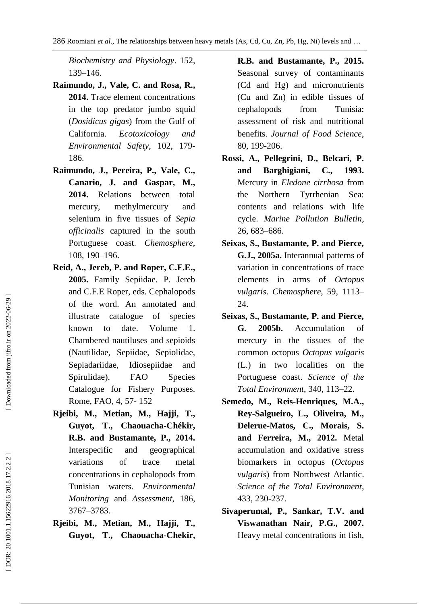*Biochemistry and Physiology*. 152, 139 –146.

- **Raimundo, J., Vale, C. and Rosa, R. , 2014.** Trace element concentrations in the top predator jumbo squid (*Dosidicus gigas*) from the Gulf of California. *Ecotoxicology and Environmental Safety*, 102 , 179 - 186.
- **Raimundo, J., Pereira, P., Vale, C., Canario, J. and Gaspar, M., 2014.** Relations between total mercury, methylmercury and selenium in five tissues of *Sepia officinalis* captured in the south Portuguese coast. *Chemosphere*, 108, 190 –196.
- **Reid, A., Jereb, P. and Roper, C.F.E. , 2005.** Family Sepiidae. P. Jereb and C.F.E Roper, eds. Cephalopods of the word. An annotated and illustrate catalogue of species known to date. Volume 1. Chambered nautiluses and sepioids (Nautilidae, Sepiidae, Sepiolidae, Sepiadariidae, Idiosepiidae and Spirulidae). FAO Species Catalogue for Fishery Purposes. Rome, FAO, 4, 57 - 152
- **Rjeibi, M., Metian, M., Hajji, T., Guyot, T., Chaouacha -Chékir, R.B. and Bustamante, P. , 2014 .** Interspecific and geographical variations of trace metal concentrations in cephalopods from Tunisian waters . *Environmental Monitoring* and *Assessment*, 186, 3767 –3783 .
- **Rjeibi, M., Metian, M., Hajji, T., Guyot, T., Chaouacha -Chekir,**
- **R.B. and Bustamante, P. , 2015.** Seasonal survey of contaminants (Cd and Hg) and micronutrients (Cu and Zn) in edible tissues of cephalopods from Tunisia: assessment of risk and nutritional benefits. *Journal of Food Science*, 80 , 199 -206.
- **Rossi, A., Pellegrini, D., Belcari, P. and Barghigiani, C., 1993.** Mercury in *Eledone cirrhosa* from the Northern Tyrrhenian Sea: contents and relations with life cycle. *Marine Pollution Bulletin* , 26, 683 –686.
- **Seixas, S., Bustamante, P. and Pierce, G.J., 2005a.** Interannual patterns of variation in concentrations of trace elements in arms of *Octopus vulgaris*. *Chemosphere*, 59, 1113 – 24.
- **Seixas, S., Bustamante, P. and Pierce, G. 2005b.** Accumulation of mercury in the tissues of the common octopus *Octopus vulgaris* (L.) in two localities on the Portuguese coast. *Science of the Total Environment*, 340, 113 –22.
- Semedo, M., Reis-Henriques, M.A., **Rey -Salgueiro, L., Oliveira, M., Delerue -Matos, C., Morais, S. and Ferreira, M. , 2012.** Metal accumulation and oxidative stress biomarkers in octopus (*Octopus vulgaris*) from Northwest Atlantic . *Science of the Total Environment*, 433, 230 -237.
- **Sivaperumal, P., Sankar, T.V. and Viswanathan Nair, P.G., 2007.** Heavy metal concentrations in fish,